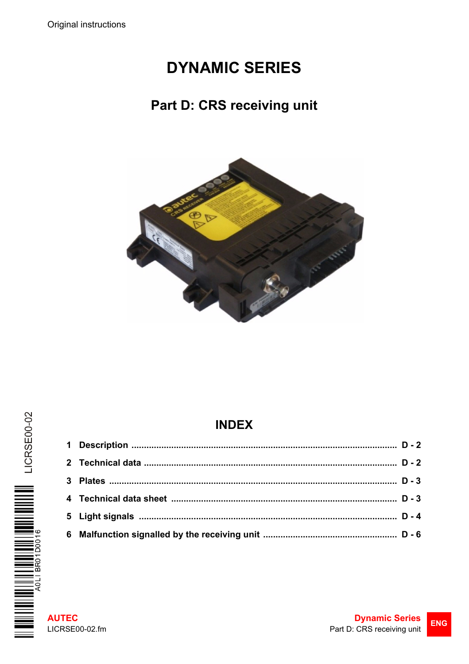# **DYNAMIC SERIES**

## Part D: CRS receiving unit



## **INDEX**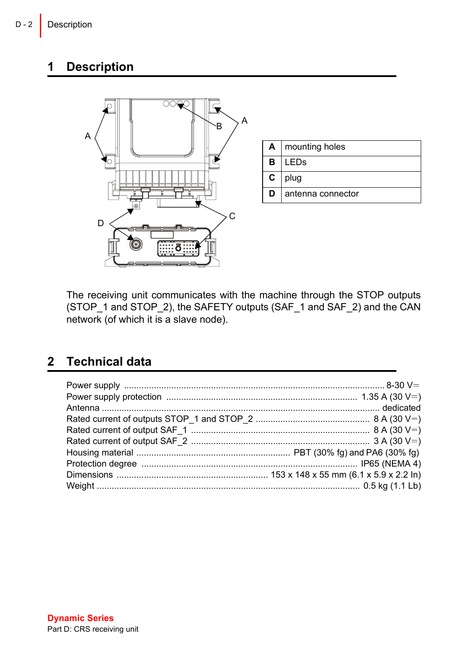### <span id="page-1-0"></span>**1 Description**



The receiving unit communicates with the machine through the STOP outputs (STOP\_1 and STOP\_2), the SAFETY outputs (SAF\_1 and SAF\_2) and the CAN  $n = 7$  network (of which it is a slave node).

### <span id="page-1-1"></span>**2 Technical data**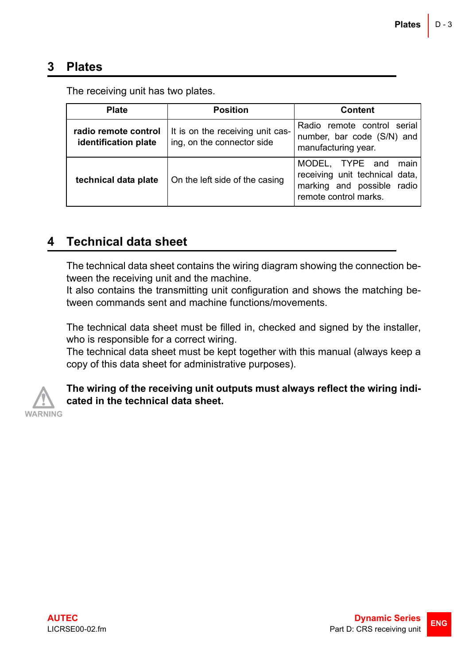#### <span id="page-2-0"></span>**3 Plates**

| <b>Plate</b>                                 | <b>Position</b>                                                | Content                                                                                                          |
|----------------------------------------------|----------------------------------------------------------------|------------------------------------------------------------------------------------------------------------------|
| radio remote control<br>identification plate | It is on the receiving unit cas-<br>ing, on the connector side | Radio remote control serial<br>number, bar code (S/N) and<br>manufacturing year.                                 |
| technical data plate                         | On the left side of the casing                                 | MODEL, TYPE and<br>main<br>receiving unit technical data,<br>marking and possible radio<br>remote control marks. |

The receiving unit has two plates.

#### <span id="page-2-1"></span>**4 Technical data sheet**

The technical data sheet contains the wiring diagram showing the connection between the receiving unit and the machine.

It also contains the transmitting unit configuration and shows the matching between commands sent and machine functions/movements.

The technical data sheet must be filled in, checked and signed by the installer, who is responsible for a correct wiring.

The technical data sheet must be kept together with this manual (always keep a copy of this data sheet for administrative purposes).



**The wiring of the receiving unit outputs must always reflect the wiring indicated in the technical data sheet.**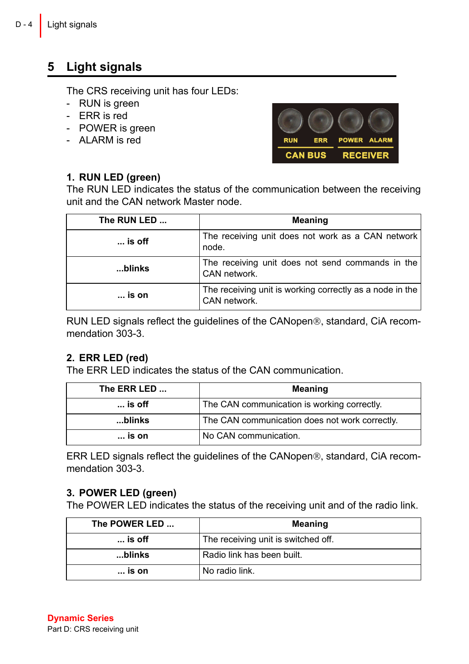### <span id="page-3-0"></span>**5 Light signals**

The CRS receiving unit has four LEDs:

- RUN is green
- ERR is red
- POWER is green
- ALARM is red

#### **1. RUN LED (green)**



The RUN LED indicates the status of the communication between the receiving unit and the CAN network Master node.

| The RUN LED     | Meaning                                                                  |
|-----------------|--------------------------------------------------------------------------|
| $\ldots$ is off | The receiving unit does not work as a CAN network<br>node.               |
| blinks          | The receiving unit does not send commands in the<br>CAN network.         |
| $\ldots$ is on  | The receiving unit is working correctly as a node in the<br>CAN network. |

RUN LED signals reflect the guidelines of the CANopen®, standard, CiA recommendation 303-3.

#### **2. ERR LED (red)**

The ERR LED indicates the status of the CAN communication.

| The ERR LED     | Meaning                                        |
|-----------------|------------------------------------------------|
| $\ldots$ is off | The CAN communication is working correctly.    |
| blinks          | The CAN communication does not work correctly. |
| $\ldots$ is on  | No CAN communication.                          |

ERR LED signals reflect the guidelines of the CANopen®, standard, CiA recommendation 303-3.

#### **3. POWER LED (green)**

The POWER LED indicates the status of the receiving unit and of the radio link.

| The POWER LED   | Meaning                             |
|-----------------|-------------------------------------|
| $\ldots$ is off | The receiving unit is switched off. |
| blinks          | Radio link has been built.          |
| $\ldots$ is on  | No radio link.                      |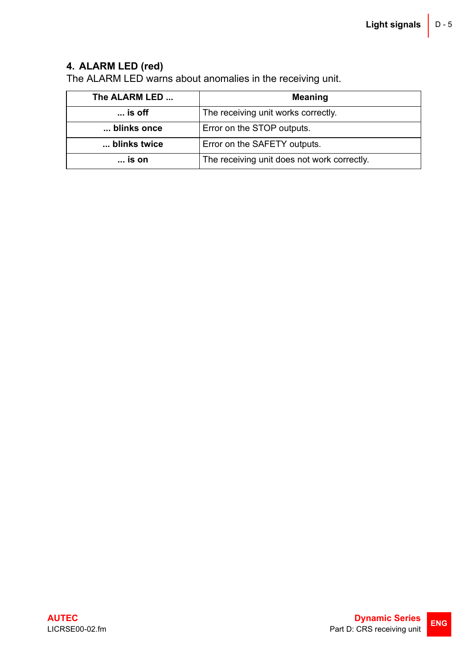#### **4. ALARM LED (red)**

The ALARM LED warns about anomalies in the receiving unit.

| The ALARM LED   | Meaning                                     |
|-----------------|---------------------------------------------|
| $\ldots$ is off | The receiving unit works correctly.         |
| blinks once     | Error on the STOP outputs.                  |
| blinks twice    | Error on the SAFETY outputs.                |
| is on           | The receiving unit does not work correctly. |